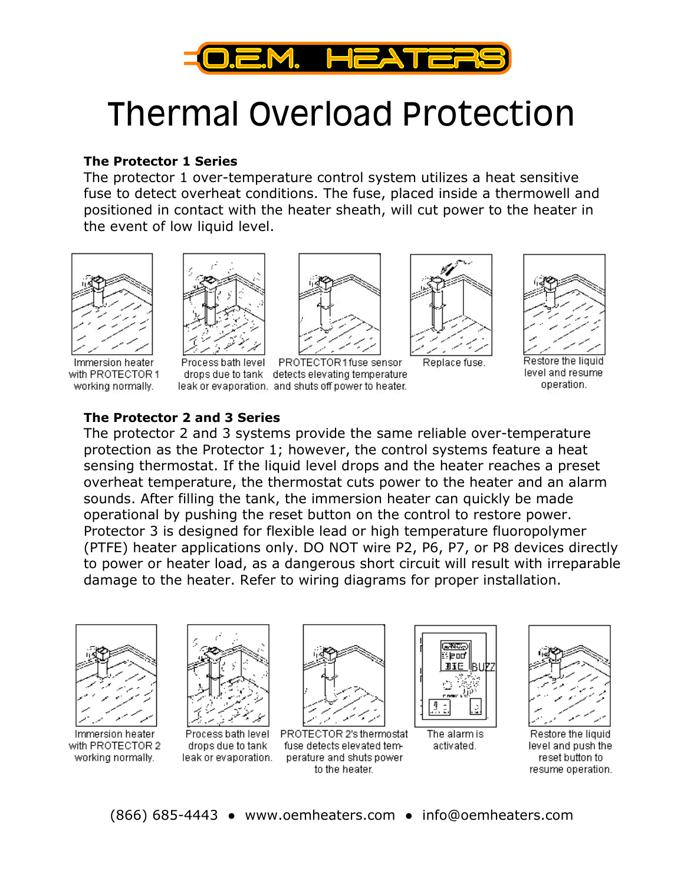

# Thermal Overload Protection

#### The Protector 1 Series

The protector 1 over-temperature control system utilizes a heat sensitive fuse to detect overheat conditions. The fuse, placed inside a thermowell and positioned in contact with the heater sheath, will cut power to the heater in the event of low liquid level.



Immersion heater with PROTECTOR 1 working normally.



Process bath level



PROTECTOR1fuse sensor drops due to tank detects elevating temperature leak or evaporation. and shuts off power to heater.



Replace fuse.



Restore the liquid level and resume operation.

#### The Protector 2 and 3 Series

The protector 2 and 3 systems provide the same reliable over-temperature protection as the Protector 1; however, the control systems feature a heat sensing thermostat. If the liquid level drops and the heater reaches a preset overheat temperature, the thermostat cuts power to the heater and an alarm sounds. After filling the tank, the immersion heater can quickly be made operational by pushing the reset button on the control to restore power. Protector 3 is designed for flexible lead or high temperature fluoropolymer (PTFE) heater applications only. DO NOT wire P2, P6, P7, or P8 devices directly to power or heater load, as a dangerous short circuit will result with irreparable damage to the heater. Refer to wiring diagrams for proper installation.



Immersion heater with PROTECTOR 2 working normally.



Process bath level drops due to tank leak or evaporation.



PROTECTOR 2's thermostat fuse detects elevated temperature and shuts power to the heater.



The alarm is activated.



Restore the liquid level and push the reset button to resume operation.